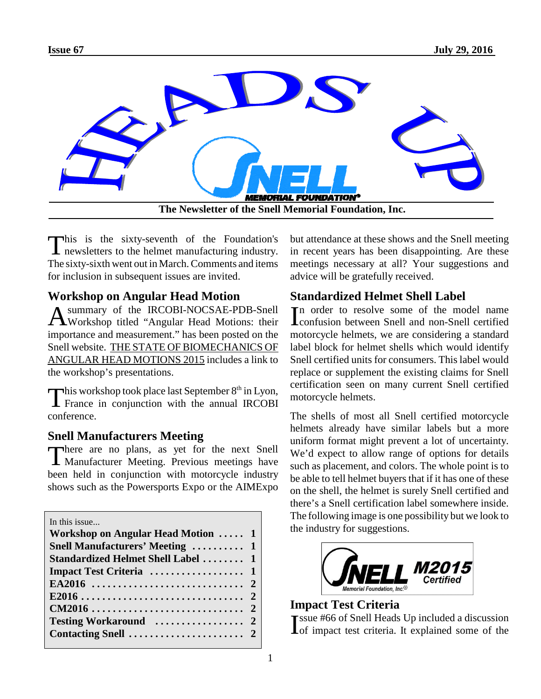

This is the sixty-seventh of the Foundation's<br>newsletters to the helmet manufacturing industry. newsletters to the helmet manufacturing industry. The sixty-sixth went out in March. Comments and items for inclusion in subsequent issues are invited.

# **Workshop on Angular Head Motion**

A summary of the IRCOBI-NOCSAE-PDB-Snell<br>Workshop titled "Angular Head Motions: their summary of the IRCOBI-NOCSAE-PDB-Snell importance and measurement." has been posted on the Snell website. THE STATE OF BIOMECHANICS OF ANGULAR HEAD MOTIONS 2015 includes a link to the workshop's presentations.

This workshop took place last September 8<sup>th</sup> in Lyon,<br>France in conjunction with the annual IRCOBI This workshop took place last September  $8<sup>th</sup>$  in Lyon, conference.

# **Snell Manufacturers Meeting**

There are no plans, as yet for the next Snell<br>Manufacturer Meeting. Previous meetings have There are no plans, as yet for the next Snell been held in conjunction with motorcycle industry shows such as the Powersports Expo or the AIMExpo

| In this issue                          |  |
|----------------------------------------|--|
| Workshop on Angular Head Motion  1     |  |
| <b>Snell Manufacturers' Meeting  1</b> |  |
| Standardized Helmet Shell Label  1     |  |
|                                        |  |
|                                        |  |
|                                        |  |
|                                        |  |
|                                        |  |
|                                        |  |

but attendance at these shows and the Snell meeting in recent years has been disappointing. Are these meetings necessary at all? Your suggestions and advice will be gratefully received.

# **Standardized Helmet Shell Label**

In order to resolve some of the model name<br>
confusion between Snell and non-Snell certified **The** order to resolve some of the model name motorcycle helmets, we are considering a standard label block for helmet shells which would identify Snell certified units for consumers. This label would replace or supplement the existing claims for Snell certification seen on many current Snell certified motorcycle helmets.

The shells of most all Snell certified motorcycle helmets already have similar labels but a more uniform format might prevent a lot of uncertainty. We'd expect to allow range of options for details such as placement, and colors. The whole point is to be able to tell helmet buyers that if it has one of these on the shell, the helmet is surely Snell certified and there's a Snell certification label somewhere inside. The following image is one possibility but we look to the industry for suggestions.



# **Impact Test Criteria**

I ssue #66 of Snell Heads Up included a discussion of impact test criteria. It explained some of the